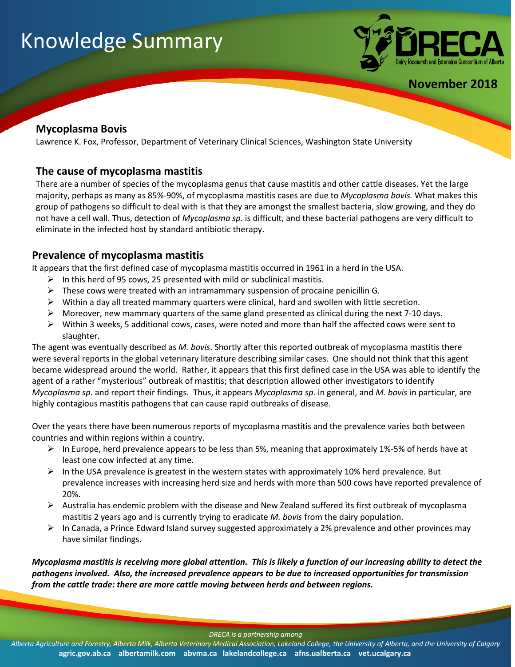# Knowledge Summary



**November 2018**

## **Mycoplasma Bovis**

Lawrence K. Fox, Professor, Department of Veterinary Clinical Sciences, Washington State University

#### **The cause of mycoplasma mastitis**

There are a number of species of the mycoplasma genus that cause mastitis and other cattle diseases. Yet the large majority, perhaps as many as 85%-90%, of mycoplasma mastitis cases are due to *Mycoplasma bovis.* What makes this group of pathogens so difficult to deal with is that they are amongst the smallest bacteria, slow growing, and they do not have a cell wall. Thus, detection of *Mycoplasma sp.* is difficult, and these bacterial pathogens are very difficult to eliminate in the infected host by standard antibiotic therapy.

## **Prevalence of mycoplasma mastitis**

It appears that the first defined case of mycoplasma mastitis occurred in 1961 in a herd in the USA.

- $\triangleright$  In this herd of 95 cows, 25 presented with mild or subclinical mastitis.
- $\triangleright$  These cows were treated with an intramammary suspension of procaine penicillin G.
- $\triangleright$  Within a day all treated mammary quarters were clinical, hard and swollen with little secretion.
- $\triangleright$  Moreover, new mammary quarters of the same gland presented as clinical during the next 7-10 days.
- $\triangleright$  Within 3 weeks, 5 additional cows, cases, were noted and more than half the affected cows were sent to slaughter.

The agent was eventually described as *M. bovis*. Shortly after this reported outbreak of mycoplasma mastitis there were several reports in the global veterinary literature describing similar cases. One should not think that this agent became widespread around the world. Rather, it appears that this first defined case in the USA was able to identify the agent of a rather "mysterious" outbreak of mastitis; that description allowed other investigators to identify *Mycoplasma sp*. and report their findings. Thus, it appears *Mycoplasma sp*. in general, and *M. bovis* in particular, are highly contagious mastitis pathogens that can cause rapid outbreaks of disease.

Over the years there have been numerous reports of mycoplasma mastitis and the prevalence varies both between countries and within regions within a country.

- ➢ In Europe, herd prevalence appears to be less than 5%, meaning that approximately 1%-5% of herds have at least one cow infected at any time.
- $\triangleright$  In the USA prevalence is greatest in the western states with approximately 10% herd prevalence. But prevalence increases with increasing herd size and herds with more than 500 cows have reported prevalence of 20%.
- $\triangleright$  Australia has endemic problem with the disease and New Zealand suffered its first outbreak of mycoplasma mastitis 2 years ago and is currently trying to eradicate *M. bovis* from the dairy population.
- ➢ In Canada, a Prince Edward Island survey suggested approximately a 2% prevalence and other provinces may have similar findings.

*Mycoplasma mastitis is receiving more global attention. This is likely a function of our increasing ability to detect the pathogens involved. Also, the increased prevalence appears to be due to increased opportunities for transmission from the cattle trade: there are more cattle moving between herds and between regions.*

*DRECA is a partnership among*

*Alberta Agriculture and Forestry, Alberta Milk, Alberta Veterinary Medical Association, Lakeland College, the University of Alberta, and the University of Calgary* **agric.gov.ab.ca albertamilk.com abvma.ca lakelandcollege.ca afns.ualberta.ca vet.ucalgary.ca**